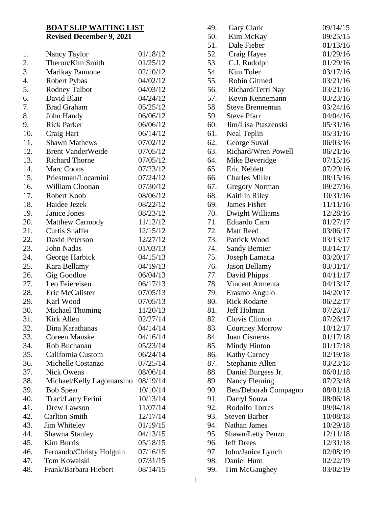## **BOAT SLIP WAITING LIST Revised December 9, 2021**

| 1.  | Nancy Taylor              | 01/18/12 |
|-----|---------------------------|----------|
| 2.  | Theron/Kim Smith          | 01/25/12 |
| 3.  | <b>Marikay Pannone</b>    | 02/10/12 |
| 4.  | <b>Robert Pybas</b>       | 04/02/12 |
| 5.  | <b>Rodney Talbot</b>      | 04/03/12 |
| 6.  | David Blair               | 04/24/12 |
| 7.  | <b>Brad Graham</b>        | 05/25/12 |
| 8.  | John Handy                | 06/06/12 |
| 9.  | <b>Rick Parker</b>        | 06/06/12 |
| 10. | Craig Hart                | 06/14/12 |
| 11. | <b>Shawn Mathews</b>      | 07/02/12 |
| 12. | <b>Brent VanderWeide</b>  | 07/05/12 |
| 13. | <b>Richard Thorne</b>     | 07/05/12 |
| 14. | Marc Coons                | 07/23/12 |
| 15. | Priestman/Locarnini       | 07/24/12 |
| 16. | William Cloonan           | 07/30/12 |
| 17. | Robert Koob               | 08/06/12 |
| 18. | Haidee Jezek              | 08/22/12 |
| 19. | Janice Jones              | 08/23/12 |
| 20. | <b>Matthew Carmody</b>    | 11/12/12 |
| 21. | <b>Curtis Shaffer</b>     | 12/15/12 |
| 22. | David Peterson            | 12/27/12 |
| 23. | John Nadas                | 01/03/13 |
| 24. | George Harbick            | 04/15/13 |
| 25. | Kara Bellamy              | 04/19/13 |
| 26. | Gig Goodloe               | 06/04/13 |
| 27. | Leo Feiereisen            | 06/17/13 |
| 28. | Eric McCalister           | 07/05/13 |
| 29. | Karl Wood                 | 07/05/13 |
| 30. | <b>Michael Thoming</b>    | 11/20/13 |
| 31. | Kirk Allen                | 02/27/14 |
| 32. | Dina Karathanas           | 04/14/14 |
| 33. | <b>Coreen Manske</b>      | 04/16/14 |
| 34. | Rob Buchanan              | 05/23/14 |
| 35. | California Custom         | 06/24/14 |
| 36. | <b>Michelle Costanzo</b>  | 07/25/14 |
| 37. | <b>Nick Owens</b>         | 08/06/14 |
| 38. | Michael/Kelly Lagomarsino | 08/19/14 |
| 39. | <b>Bob Spear</b>          | 10/10/14 |
| 40. | Traci/Larry Ferini        | 10/13/14 |
| 41. | Drew Lawson               | 11/07/14 |
| 42. | <b>Carlton Smith</b>      | 12/17/14 |
| 43. | Jim Whiteley              | 01/19/15 |
| 44. | Shawna Stanley            | 04/13/15 |
| 45. | Kim Burris                | 05/18/15 |
| 46. | Fernando/Christy Holguin  | 07/16/15 |
| 47. | Tom Kowalski              | 07/31/15 |
| 48. | Frank/Barbara Hiebert     | 08/14/15 |
|     |                           |          |

| 49.        | Gary Clark                            | 09/14/15 |
|------------|---------------------------------------|----------|
| 50.        | Kim McKay                             | 09/25/15 |
| 51.        | Dale Fieber                           | 01/13/16 |
| 52.        | Craig Hayes                           | 01/29/16 |
| 53.        | C.J. Rudolph                          | 01/29/16 |
| 54.        | Kim Toler                             | 03/17/16 |
| 55.        | Robin Gitmed                          | 03/21/16 |
| 56.        | Richard/Terri Nay                     | 03/21/16 |
| 57.        | Kevin Kennemann                       | 03/23/16 |
| 58.        | <b>Steve Brenneman</b>                | 03/24/16 |
| 59.        | <b>Steve Pfarr</b>                    | 04/04/16 |
| 60.        | Jim/Lisa Ptaszenski                   | 05/31/16 |
| 61.        | Neal Teplin                           | 05/31/16 |
| 62.        | George Suval                          | 06/03/16 |
| 63.        | <b>Richard/Wren Powell</b>            | 06/21/16 |
| 64.        | Mike Beveridge                        | 07/15/16 |
| 65.        | Eric Neblett                          | 07/29/16 |
| 66.        | <b>Charles Miller</b>                 | 08/15/16 |
| 67.        | <b>Gregory Norman</b>                 | 09/27/16 |
| 68.        | Kaitilin Riley                        | 10/31/16 |
| 69.        | James Fisher                          | 11/11/16 |
| 70.        | Dwight Williams                       | 12/28/16 |
| 71.        | <b>Eduardo Caro</b>                   | 01/27/17 |
| 72.        | <b>Matt Reed</b>                      | 03/06/17 |
| 73.        | Patrick Wood                          | 03/13/17 |
| 74.        | <b>Sandy Bernier</b>                  | 03/14/17 |
| 75.        | Joseph Lamatia                        | 03/20/17 |
| 76.        | <b>Jason Bellamy</b>                  | 03/31/17 |
| 77.        | David Phipps                          | 04/11/17 |
| 78.        | Vincent Armenta                       | 04/13/17 |
| 79.        | Erasmo Angulo                         | 04/20/17 |
| 80.        | <b>Rick Rodarte</b>                   | 06/22/17 |
| 81.        | Jeff Holman                           | 07/26/17 |
| 82.        | Clovis Clinton                        | 07/26/17 |
| 83.        | <b>Courtney Morrow</b>                | 10/12/17 |
| 84.        | <b>Juan Cisneros</b>                  | 01/17/18 |
| 85.        | <b>Mindy Hinton</b>                   | 01/17/18 |
| 86.        | <b>Kathy Carney</b>                   | 02/19/18 |
| 87.        | Stephanie Allen                       | 03/23/18 |
| 88.        | Daniel Burgess Jr.                    | 06/01/18 |
|            |                                       | 07/23/18 |
| 89.<br>90. | <b>Nancy Fleming</b>                  | 08/01/18 |
| 91.        | Ben/Deborah Compagno                  | 08/06/18 |
|            | Darryl Souza<br><b>Rodolfo Torres</b> | 09/04/18 |
| 92.        |                                       |          |
| 93.        | <b>Steven Barber</b><br>Nathan James  | 10/08/18 |
| 94.        |                                       | 10/29/18 |
| 95.        | Shawn/Letty Penzo                     | 12/11/18 |
| 96.        | <b>Jeff Drees</b>                     | 12/31/18 |
| 97.        | John/Janice Lynch                     | 02/08/19 |
| 98.        | Daniel Hunt                           | 02/22/19 |
| 99.        | Tim McGaughey                         | 03/02/19 |